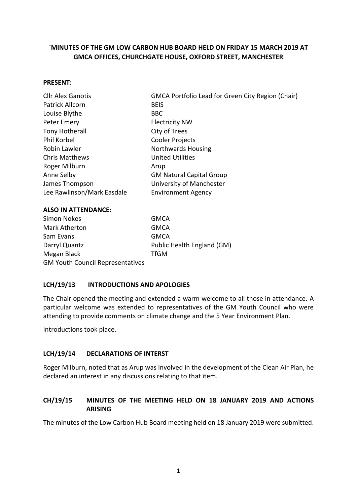# **`MINUTES OF THE GM LOW CARBON HUB BOARD HELD ON FRIDAY 15 MARCH 2019 AT GMCA OFFICES, CHURCHGATE HOUSE, OXFORD STREET, MANCHESTER**

#### **PRESENT:**

| <b>Cllr Alex Ganotis</b>   | GMCA Portfolio Lead for Green City Region (Chair) |
|----------------------------|---------------------------------------------------|
| Patrick Allcorn            | <b>BEIS</b>                                       |
| Louise Blythe              | <b>BBC</b>                                        |
| Peter Emery                | <b>Electricity NW</b>                             |
| Tony Hotherall             | City of Trees                                     |
| Phil Korbel                | Cooler Projects                                   |
| Robin Lawler               | Northwards Housing                                |
| <b>Chris Matthews</b>      | <b>United Utilities</b>                           |
| Roger Milburn              | Arup                                              |
| Anne Selby                 | <b>GM Natural Capital Group</b>                   |
| James Thompson             | University of Manchester                          |
| Lee Rawlinson/Mark Easdale | <b>Environment Agency</b>                         |

#### **ALSO IN ATTENDANCE:**

| Simon Nokes                             | <b>GMCA</b>                |
|-----------------------------------------|----------------------------|
| Mark Atherton                           | <b>GMCA</b>                |
| Sam Evans                               | <b>GMCA</b>                |
| Darryl Quantz                           | Public Health England (GM) |
| Megan Black                             | <b>TfGM</b>                |
| <b>GM Youth Council Representatives</b> |                            |

### **LCH/19/13 INTRODUCTIONS AND APOLOGIES**

The Chair opened the meeting and extended a warm welcome to all those in attendance. A particular welcome was extended to representatives of the GM Youth Council who were attending to provide comments on climate change and the 5 Year Environment Plan.

Introductions took place.

### **LCH/19/14 DECLARATIONS OF INTERST**

Roger Milburn, noted that as Arup was involved in the development of the Clean Air Plan, he declared an interest in any discussions relating to that item.

### **CH/19/15 MINUTES OF THE MEETING HELD ON 18 JANUARY 2019 AND ACTIONS ARISING**

The minutes of the Low Carbon Hub Board meeting held on 18 January 2019 were submitted.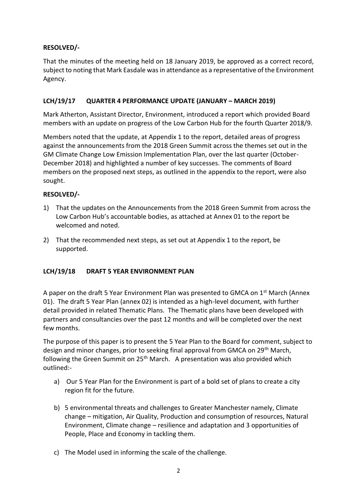# **RESOLVED/-**

That the minutes of the meeting held on 18 January 2019, be approved as a correct record, subject to noting that Mark Easdale was in attendance as a representative of the Environment Agency.

# **LCH/19/17 QUARTER 4 PERFORMANCE UPDATE (JANUARY – MARCH 2019)**

Mark Atherton, Assistant Director, Environment, introduced a report which provided Board members with an update on progress of the Low Carbon Hub for the fourth Quarter 2018/9.

Members noted that the update, at Appendix 1 to the report, detailed areas of progress against the announcements from the 2018 Green Summit across the themes set out in the GM Climate Change Low Emission Implementation Plan, over the last quarter (October-December 2018) and highlighted a number of key successes. The comments of Board members on the proposed next steps, as outlined in the appendix to the report, were also sought.

### **RESOLVED/-**

- 1) That the updates on the Announcements from the 2018 Green Summit from across the Low Carbon Hub's accountable bodies, as attached at Annex 01 to the report be welcomed and noted.
- 2) That the recommended next steps, as set out at Appendix 1 to the report, be supported.

# **LCH/19/18 DRAFT 5 YEAR ENVIRONMENT PLAN**

A paper on the draft 5 Year Environment Plan was presented to GMCA on 1<sup>st</sup> March (Annex 01). The draft 5 Year Plan (annex 02) is intended as a high-level document, with further detail provided in related Thematic Plans. The Thematic plans have been developed with partners and consultancies over the past 12 months and will be completed over the next few months.

The purpose of this paper is to present the 5 Year Plan to the Board for comment, subject to design and minor changes, prior to seeking final approval from GMCA on 29<sup>th</sup> March, following the Green Summit on  $25<sup>th</sup>$  March. A presentation was also provided which outlined:-

- a) Our 5 Year Plan for the Environment is part of a bold set of plans to create a city region fit for the future.
- b) 5 environmental threats and challenges to Greater Manchester namely, Climate change – mitigation, Air Quality, Production and consumption of resources, Natural Environment, Climate change – resilience and adaptation and 3 opportunities of People, Place and Economy in tackling them.
- c) The Model used in informing the scale of the challenge.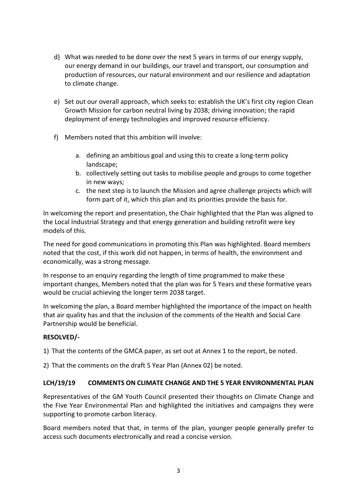- d) What was needed to be done over the next 5 years in terms of our energy supply, our energy demand in our buildings, our travel and transport, our consumption and production of resources, our natural environment and our resilience and adaptation to climate change.
- e) Set out our overall approach, which seeks to: establish the UK's first city region Clean Growth Mission for carbon neutral living by 2038; driving innovation; the rapid deployment of energy technologies and improved resource efficiency.
- f) Members noted that this ambition will involve:
	- a. defining an ambitious goal and using this to create a long-term policy landscape;
	- b. collectively setting out tasks to mobilise people and groups to come together in new ways;
	- c. the next step is to launch the Mission and agree challenge projects which will form part of it, which this plan and its priorities provide the basis for.

In welcoming the report and presentation, the Chair highlighted that the Plan was aligned to the Local Industrial Strategy and that energy generation and building retrofit were key models of this.

The need for good communications in promoting this Plan was highlighted. Board members noted that the cost, if this work did not happen, in terms of health, the environment and economically, was a strong message.

In response to an enquiry regarding the length of time programmed to make these important changes, Members noted that the plan was for 5 Years and these formative years would be crucial achieving the longer term 2038 target.

In welcoming the plan, a Board member highlighted the importance of the impact on health that air quality has and that the inclusion of the comments of the Health and Social Care Partnership would be beneficial.

### **RESOLVED/-**

1) That the contents of the GMCA paper, as set out at Annex 1 to the report, be noted.

2) That the comments on the draft 5 Year Plan (Annex 02) be noted.

#### **LCH/19/19 COMMENTS ON CLIMATE CHANGE AND THE 5 YEAR ENVIRONMENTAL PLAN**

Representatives of the GM Youth Council presented their thoughts on Climate Change and the Five Year Environmental Plan and highlighted the initiatives and campaigns they were supporting to promote carbon literacy.

Board members noted that that, in terms of the plan, younger people generally prefer to access such documents electronically and read a concise version.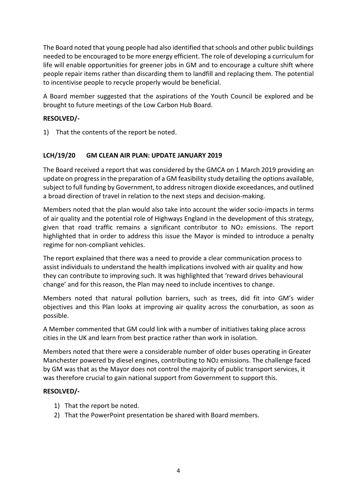The Board noted that young people had also identified that schools and other public buildings needed to be encouraged to be more energy efficient. The role of developing a curriculum for life will enable opportunities for greener jobs in GM and to encourage a culture shift where people repair items rather than discarding them to landfill and replacing them. The potential to incentivise people to recycle properly would be beneficial.

A Board member suggested that the aspirations of the Youth Council be explored and be brought to future meetings of the Low Carbon Hub Board.

# **RESOLVED/-**

1) That the contents of the report be noted.

### **LCH/19/20 GM CLEAN AIR PLAN: UPDATE JANUARY 2019**

The Board received a report that was considered by the GMCA on 1 March 2019 providing an update on progress in the preparation of a GM feasibility study detailing the options available, subject to full funding by Government, to address nitrogen dioxide exceedances, and outlined a broad direction of travel in relation to the next steps and decision-making.

Members noted that the plan would also take into account the wider socio-impacts in terms of air quality and the potential role of Highways England in the development of this strategy, given that road traffic remains a significant contributor to NO<sup>2</sup> emissions. The report highlighted that in order to address this issue the Mayor is minded to introduce a penalty regime for non-compliant vehicles.

The report explained that there was a need to provide a clear communication process to assist individuals to understand the health implications involved with air quality and how they can contribute to improving such. It was highlighted that 'reward drives behavioural change' and for this reason, the Plan may need to include incentives to change.

Members noted that natural pollution barriers, such as trees, did fit into GM's wider objectives and this Plan looks at improving air quality across the conurbation, as soon as possible.

A Member commented that GM could link with a number of initiatives taking place across cities in the UK and learn from best practice rather than work in isolation.

Members noted that there were a considerable number of older buses operating in Greater Manchester powered by diesel engines, contributing to NO2 emissions. The challenge faced by GM was that as the Mayor does not control the majority of public transport services, it was therefore crucial to gain national support from Government to support this.

### **RESOLVED/-**

- 1) That the report be noted.
- 2) That the PowerPoint presentation be shared with Board members.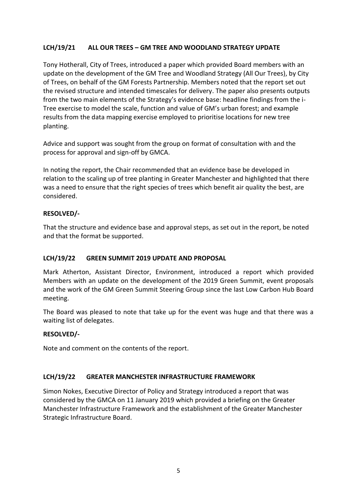# **LCH/19/21 ALL OUR TREES – GM TREE AND WOODLAND STRATEGY UPDATE**

Tony Hotherall, City of Trees, introduced a paper which provided Board members with an update on the development of the GM Tree and Woodland Strategy (All Our Trees), by City of Trees, on behalf of the GM Forests Partnership. Members noted that the report set out the revised structure and intended timescales for delivery. The paper also presents outputs from the two main elements of the Strategy's evidence base: headline findings from the i-Tree exercise to model the scale, function and value of GM's urban forest; and example results from the data mapping exercise employed to prioritise locations for new tree planting.

Advice and support was sought from the group on format of consultation with and the process for approval and sign-off by GMCA.

In noting the report, the Chair recommended that an evidence base be developed in relation to the scaling up of tree planting in Greater Manchester and highlighted that there was a need to ensure that the right species of trees which benefit air quality the best, are considered.

### **RESOLVED/-**

That the structure and evidence base and approval steps, as set out in the report, be noted and that the format be supported.

### **LCH/19/22 GREEN SUMMIT 2019 UPDATE AND PROPOSAL**

Mark Atherton, Assistant Director, Environment, introduced a report which provided Members with an update on the development of the 2019 Green Summit, event proposals and the work of the GM Green Summit Steering Group since the last Low Carbon Hub Board meeting.

The Board was pleased to note that take up for the event was huge and that there was a waiting list of delegates.

### **RESOLVED/-**

Note and comment on the contents of the report.

### **LCH/19/22 GREATER MANCHESTER INFRASTRUCTURE FRAMEWORK**

Simon Nokes, Executive Director of Policy and Strategy introduced a report that was considered by the GMCA on 11 January 2019 which provided a briefing on the Greater Manchester Infrastructure Framework and the establishment of the Greater Manchester Strategic Infrastructure Board.